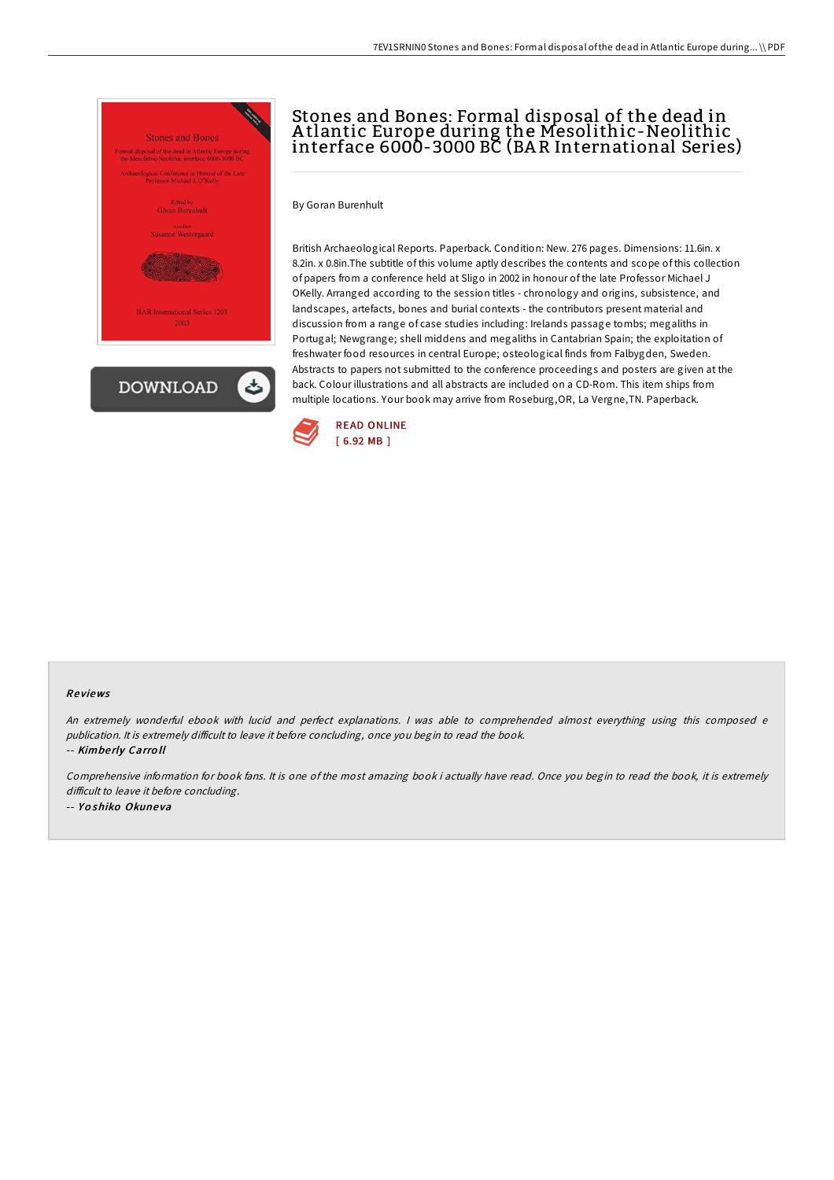

## Stones and Bones: Formal disposal of the dead in A tlantic Europe during the Mesolithic-Neolithic interface 6000-3000 BC (BA R International Series)

By Goran Burenhult

British Archaeological Reports. Paperback. Condition: New. 276 pages. Dimensions: 11.6in. x 8.2in. x 0.8in.The subtitle of this volume aptly describes the contents and scope of this collection of papers from a conference held at Sligo in 2002 in honour of the late Professor Michael J OKelly. Arranged according to the session titles - chronology and origins, subsistence, and landscapes, artefacts, bones and burial contexts - the contributors present material and discussion from a range of case studies including: Irelands passage tombs; megaliths in Portugal; Newgrange; shell middens and megaliths in Cantabrian Spain; the exploitation of freshwater food resources in central Europe; osteological finds from Falbygden, Sweden. Abstracts to papers not submitted to the conference proceedings and posters are given at the back. Colour illustrations and all abstracts are included on a CD-Rom. This item ships from multiple locations. Your book may arrive from Roseburg,OR, La Vergne,TN. Paperback.



## Re views

An extremely wonderful ebook with lucid and perfect explanations. <sup>I</sup> was able to comprehended almost everything using this composed <sup>e</sup> publication. It is extremely difficult to leave it before concluding, once you begin to read the book.

-- Kimbe rly Carro ll

Comprehensive information for book fans. It is one of the most amazing book i actually have read. Once you begin to read the book, it is extremely difficult to leave it before concluding. -- Yoshiko Okuneva